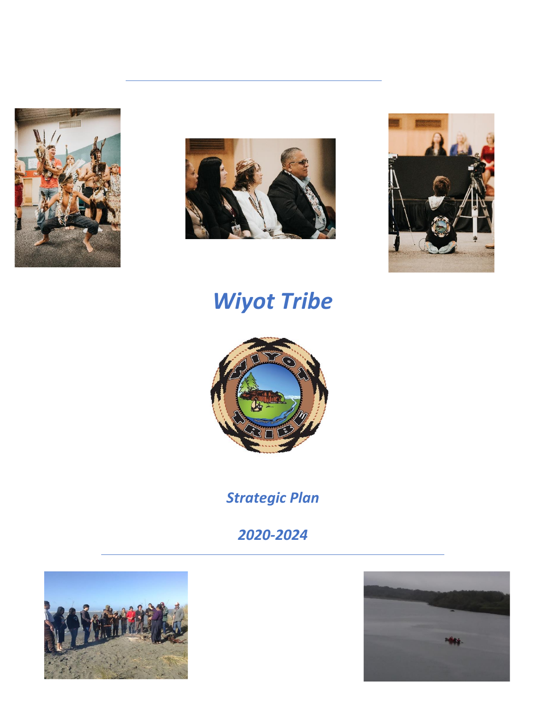





# *Wiyot Tribe*



*Strategic Plan*

*2020-2024*



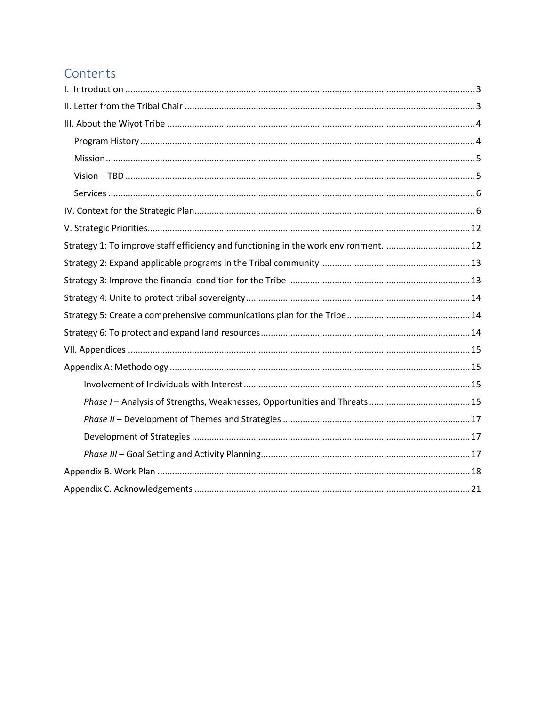# Contents

| Strategy 1: To improve staff efficiency and functioning in the work environment12 |  |
|-----------------------------------------------------------------------------------|--|
|                                                                                   |  |
|                                                                                   |  |
|                                                                                   |  |
|                                                                                   |  |
|                                                                                   |  |
|                                                                                   |  |
|                                                                                   |  |
|                                                                                   |  |
|                                                                                   |  |
|                                                                                   |  |
|                                                                                   |  |
|                                                                                   |  |
|                                                                                   |  |
|                                                                                   |  |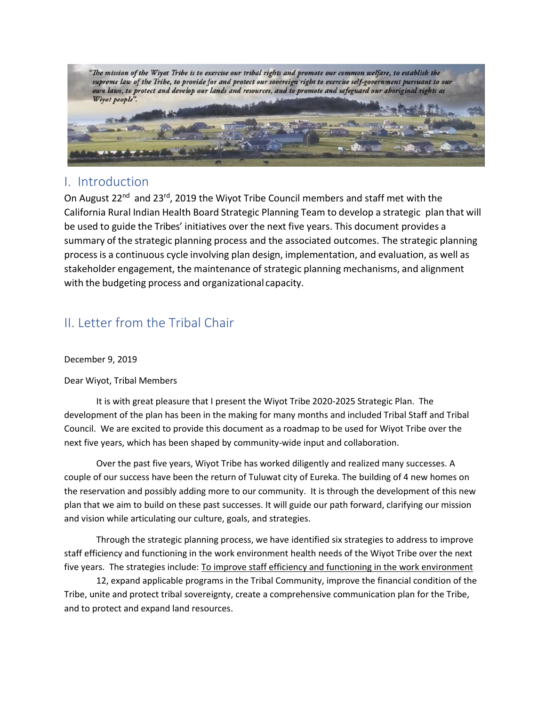

# I. Introduction

On August 22<sup>nd</sup> and 23<sup>rd</sup>, 2019 the Wiyot Tribe Council members and staff met with the California Rural Indian Health Board Strategic Planning Team to develop a strategic plan that will be used to guide the Tribes' initiatives over the next five years. This document provides a summary of the strategic planning process and the associated outcomes. The strategic planning process is a continuous cycle involving plan design, implementation, and evaluation, as well as stakeholder engagement, the maintenance of strategic planning mechanisms, and alignment with the budgeting process and organizational capacity.

# <span id="page-2-0"></span>II. Letter from the Tribal Chair

December 9, 2019

Dear Wiyot, Tribal Members

It is with great pleasure that I present the Wiyot Tribe 2020-2025 Strategic Plan. The development of the plan has been in the making for many months and included Tribal Staff and Tribal Council. We are excited to provide this document as a roadmap to be used for Wiyot Tribe over the next five years, which has been shaped by community-wide input and collaboration.

Over the past five years, Wiyot Tribe has worked diligently and realized many successes. A couple of our success have been the return of Tuluwat city of Eureka. The building of 4 new homes on the reservation and possibly adding more to our community.It is through the development of this new plan that we aim to build on these past successes. It will guide our path forward, clarifying our mission and vision while articulating our culture, goals, and strategies.

Through the strategic planning process, we have identified six strategies to address to improve staff efficiency and functioning in the work environment health needs of the Wiyot Tribe over the next five years. The strategies include[: To improve staff efficiency and functioning in the work environment](#page-11-1)

[12,](#page-11-1) expand applicable programs in the Tribal Community, improve the financial condition of the Tribe, unite and protect tribal sovereignty, create a comprehensive communication plan for the Tribe, and to protect and expand land resources.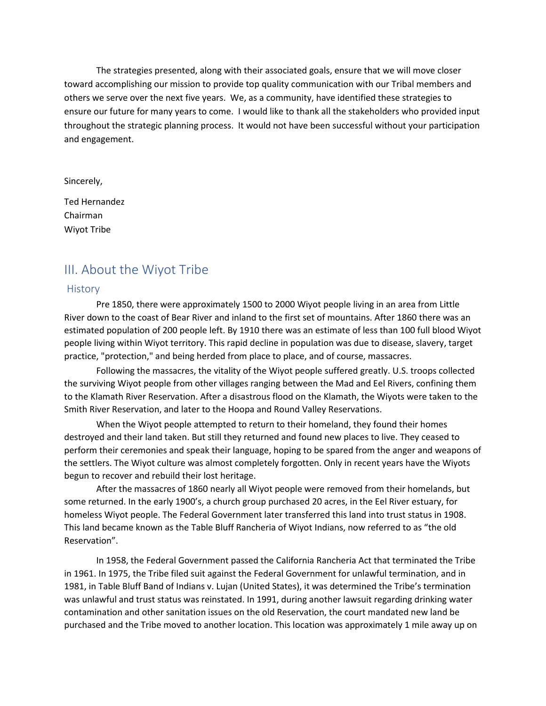The strategies presented, along with their associated goals, ensure that we will move closer toward accomplishing our mission to provide top quality communication with our Tribal members and others we serve over the next five years. We, as a community, have identified these strategies to ensure our future for many years to come. I would like to thank all the stakeholders who provided input throughout the strategic planning process. It would not have been successful without your participation and engagement.

Sincerely,

Ted Hernandez Chairman Wiyot Tribe

# <span id="page-3-0"></span>III. About the Wiyot Tribe

#### <span id="page-3-1"></span>**History**

Pre 1850, there were approximately 1500 to 2000 Wiyot people living in an area from Little River down to the coast of Bear River and inland to the first set of mountains. After 1860 there was an estimated population of 200 people left. By 1910 there was an estimate of less than 100 full blood Wiyot people living within Wiyot territory. This rapid decline in population was due to disease, slavery, target practice, "protection," and being herded from place to place, and of course, massacres.

Following the massacres, the vitality of the Wiyot people suffered greatly. U.S. troops collected the surviving Wiyot people from other villages ranging between the Mad and Eel Rivers, confining them to the Klamath River Reservation. After a disastrous flood on the Klamath, the Wiyots were taken to the Smith River Reservation, and later to the Hoopa and Round Valley Reservations.

When the Wiyot people attempted to return to their homeland, they found their homes destroyed and their land taken. But still they returned and found new places to live. They ceased to perform their ceremonies and speak their language, hoping to be spared from the anger and weapons of the settlers. The Wiyot culture was almost completely forgotten. Only in recent years have the Wiyots begun to recover and rebuild their lost heritage.

After the massacres of 1860 nearly all Wiyot people were removed from their homelands, but some returned. In the early 1900's, a church group purchased 20 acres, in the Eel River estuary, for homeless Wiyot people. The Federal Government later transferred this land into trust status in 1908. This land became known as the Table Bluff Rancheria of Wiyot Indians, now referred to as "the old Reservation".

In 1958, the Federal Government passed the California Rancheria Act that terminated the Tribe in 1961. In 1975, the Tribe filed suit against the Federal Government for unlawful termination, and in 1981, in Table Bluff Band of Indians v. Lujan (United States), it was determined the Tribe's termination was unlawful and trust status was reinstated. In 1991, during another lawsuit regarding drinking water contamination and other sanitation issues on the old Reservation, the court mandated new land be purchased and the Tribe moved to another location. This location was approximately 1 mile away up on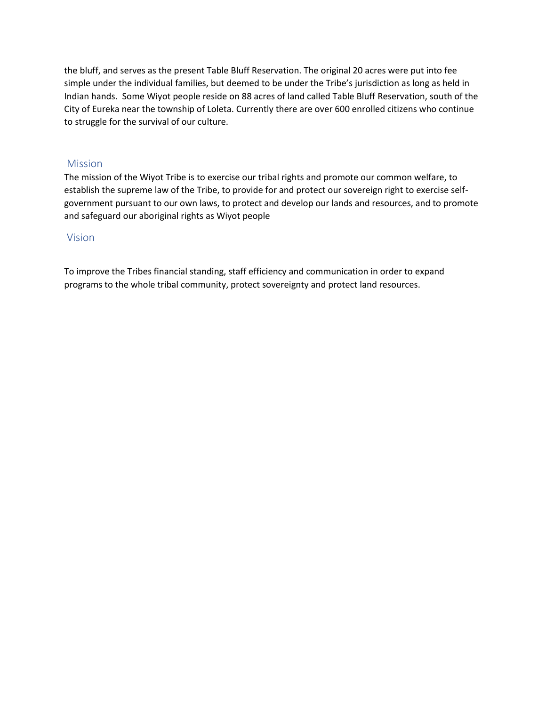the bluff, and serves as the present Table Bluff Reservation. The original 20 acres were put into fee simple under the individual families, but deemed to be under the Tribe's jurisdiction as long as held in Indian hands. Some Wiyot people reside on 88 acres of land called Table Bluff Reservation, south of the City of Eureka near the township of Loleta. Currently there are over 600 enrolled citizens who continue to struggle for the survival of our culture.

## <span id="page-4-0"></span>Mission

The mission of the Wiyot Tribe is to exercise our tribal rights and promote our common welfare, to establish the supreme law of the Tribe, to provide for and protect our sovereign right to exercise selfgovernment pursuant to our own laws, to protect and develop our lands and resources, and to promote and safeguard our aboriginal rights as Wiyot people

### <span id="page-4-1"></span>Vision

To improve the Tribes financial standing, staff efficiency and communication in order to expand programs to the whole tribal community, protect sovereignty and protect land resources.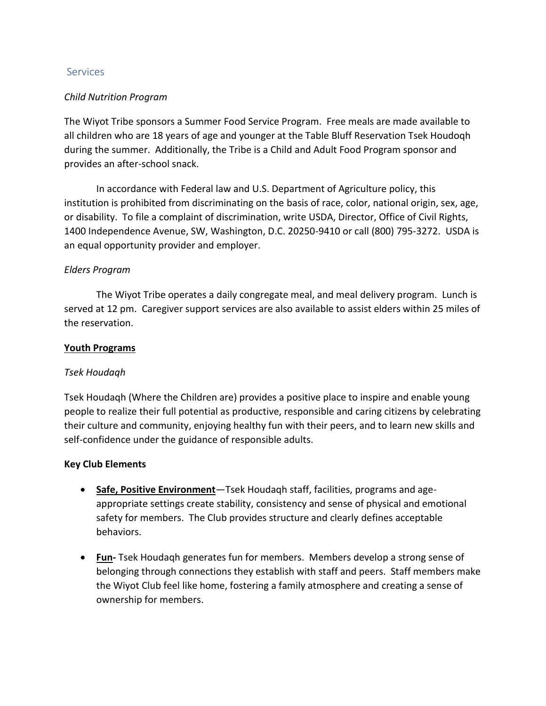## <span id="page-5-0"></span>**Services**

## <span id="page-5-1"></span>*Child Nutrition Program*

The Wiyot Tribe sponsors a Summer Food Service Program. Free meals are made available to all children who are 18 years of age and younger at the Table Bluff Reservation Tsek Houdoqh during the summer. Additionally, the Tribe is a Child and Adult Food Program sponsor and provides an after-school snack.

In accordance with Federal law and U.S. Department of Agriculture policy, this institution is prohibited from discriminating on the basis of race, color, national origin, sex, age, or disability. To file a complaint of discrimination, write USDA, Director, Office of Civil Rights, 1400 Independence Avenue, SW, Washington, D.C. 20250-9410 or call (800) 795-3272. USDA is an equal opportunity provider and employer.

## *Elders Program*

The Wiyot Tribe operates a daily congregate meal, and meal delivery program. Lunch is served at 12 pm. Caregiver support services are also available to assist elders within 25 miles of the reservation.

## **Youth Programs**

### *Tsek Houdaqh*

Tsek Houdaqh (Where the Children are) provides a positive place to inspire and enable young people to realize their full potential as productive, responsible and caring citizens by celebrating their culture and community, enjoying healthy fun with their peers, and to learn new skills and self-confidence under the guidance of responsible adults.

### **Key Club Elements**

- **Safe, Positive Environment**—Tsek Houdaqh staff, facilities, programs and ageappropriate settings create stability, consistency and sense of physical and emotional safety for members. The Club provides structure and clearly defines acceptable behaviors.
- **Fun-** Tsek Houdaqh generates fun for members. Members develop a strong sense of belonging through connections they establish with staff and peers. Staff members make the Wiyot Club feel like home, fostering a family atmosphere and creating a sense of ownership for members.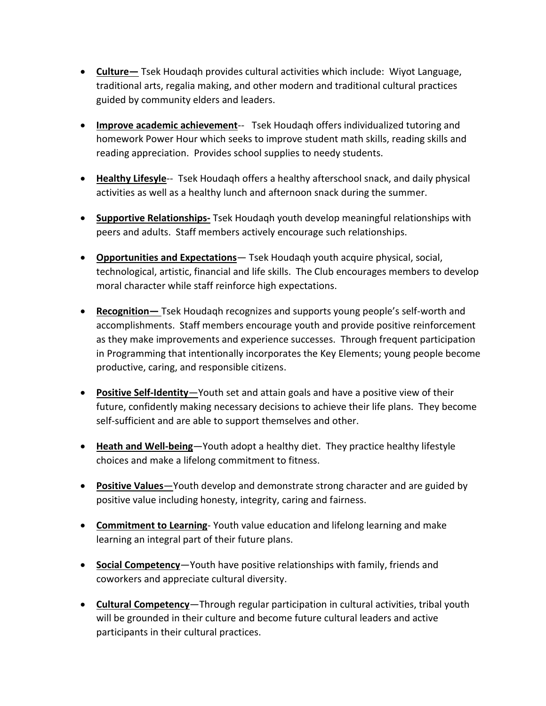- **Culture—** Tsek Houdaqh provides cultural activities which include: Wiyot Language, traditional arts, regalia making, and other modern and traditional cultural practices guided by community elders and leaders.
- **Improve academic achievement**-- Tsek Houdaqh offers individualized tutoring and homework Power Hour which seeks to improve student math skills, reading skills and reading appreciation. Provides school supplies to needy students.
- **Healthy Lifesyle**-- Tsek Houdaqh offers a healthy afterschool snack, and daily physical activities as well as a healthy lunch and afternoon snack during the summer.
- **Supportive Relationships-** Tsek Houdaqh youth develop meaningful relationships with peers and adults. Staff members actively encourage such relationships.
- **Opportunities and Expectations** Tsek Houdaqh youth acquire physical, social, technological, artistic, financial and life skills. The Club encourages members to develop moral character while staff reinforce high expectations.
- **Recognition—** Tsek Houdaqh recognizes and supports young people's self-worth and accomplishments. Staff members encourage youth and provide positive reinforcement as they make improvements and experience successes. Through frequent participation in Programming that intentionally incorporates the Key Elements; young people become productive, caring, and responsible citizens.
- **Positive Self-Identity**—Youth set and attain goals and have a positive view of their future, confidently making necessary decisions to achieve their life plans. They become self-sufficient and are able to support themselves and other.
- **Heath and Well-being**—Youth adopt a healthy diet. They practice healthy lifestyle choices and make a lifelong commitment to fitness.
- **Positive Values**—Youth develop and demonstrate strong character and are guided by positive value including honesty, integrity, caring and fairness.
- **Commitment to Learning** Youth value education and lifelong learning and make learning an integral part of their future plans.
- **Social Competency**—Youth have positive relationships with family, friends and coworkers and appreciate cultural diversity.
- **Cultural Competency**—Through regular participation in cultural activities, tribal youth will be grounded in their culture and become future cultural leaders and active participants in their cultural practices.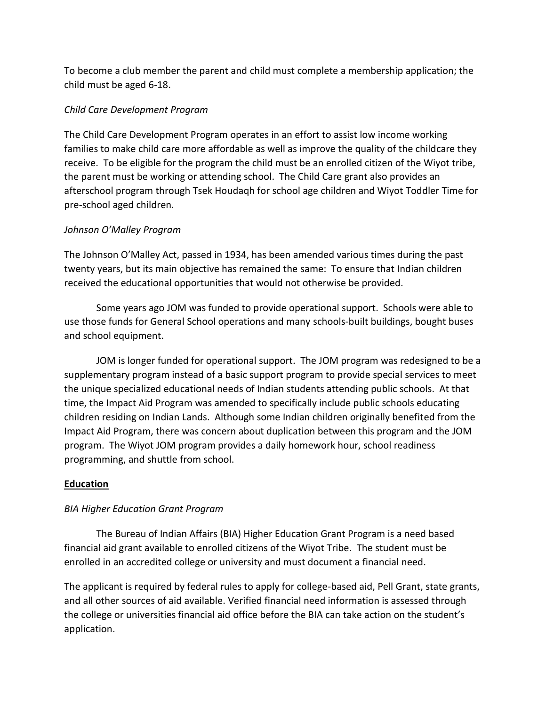To become a club member the parent and child must complete a membership application; the child must be aged 6-18.

# *Child Care Development Program*

The Child Care Development Program operates in an effort to assist low income working families to make child care more affordable as well as improve the quality of the childcare they receive. To be eligible for the program the child must be an enrolled citizen of the Wiyot tribe, the parent must be working or attending school. The Child Care grant also provides an afterschool program through Tsek Houdaqh for school age children and Wiyot Toddler Time for pre-school aged children.

# *Johnson O'Malley Program*

The Johnson O'Malley Act, passed in 1934, has been amended various times during the past twenty years, but its main objective has remained the same: To ensure that Indian children received the educational opportunities that would not otherwise be provided.

Some years ago JOM was funded to provide operational support. Schools were able to use those funds for General School operations and many schools-built buildings, bought buses and school equipment.

JOM is longer funded for operational support. The JOM program was redesigned to be a supplementary program instead of a basic support program to provide special services to meet the unique specialized educational needs of Indian students attending public schools. At that time, the Impact Aid Program was amended to specifically include public schools educating children residing on Indian Lands. Although some Indian children originally benefited from the Impact Aid Program, there was concern about duplication between this program and the JOM program. The Wiyot JOM program provides a daily homework hour, school readiness programming, and shuttle from school.

# **Education**

# *BIA Higher Education Grant Program*

The Bureau of Indian Affairs (BIA) Higher Education Grant Program is a need based financial aid grant available to enrolled citizens of the Wiyot Tribe. The student must be enrolled in an accredited college or university and must document a financial need.

The applicant is required by federal rules to apply for college-based aid, Pell Grant, state grants, and all other sources of aid available. Verified financial need information is assessed through the college or universities financial aid office before the BIA can take action on the student's application.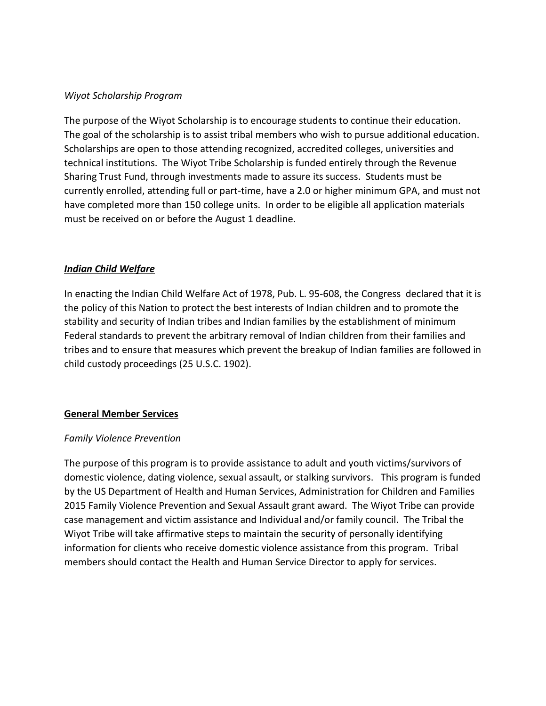## *Wiyot Scholarship Program*

The purpose of the Wiyot Scholarship is to encourage students to continue their education. The goal of the scholarship is to assist tribal members who wish to pursue additional education. Scholarships are open to those attending recognized, accredited colleges, universities and technical institutions. The Wiyot Tribe Scholarship is funded entirely through the Revenue Sharing Trust Fund, through investments made to assure its success. Students must be currently enrolled, attending full or part-time, have a 2.0 or higher minimum GPA, and must not have completed more than 150 college units. In order to be eligible all application materials must be received on or before the August 1 deadline.

# *Indian Child Welfare*

In enacting the Indian Child Welfare Act of 1978, Pub. L. 95-608, the Congress declared that it is the policy of this Nation to protect the best interests of Indian children and to promote the stability and security of Indian tribes and Indian families by the establishment of minimum Federal standards to prevent the arbitrary removal of Indian children from their families and tribes and to ensure that measures which prevent the breakup of Indian families are followed in child custody proceedings (25 U.S.C. 1902).

# **General Member Services**

# *Family Violence Prevention*

The purpose of this program is to provide assistance to adult and youth victims/survivors of domestic violence, dating violence, sexual assault, or stalking survivors. This program is funded by the US Department of Health and Human Services, Administration for Children and Families 2015 Family Violence Prevention and Sexual Assault grant award. The Wiyot Tribe can provide case management and victim assistance and Individual and/or family council. The Tribal the Wiyot Tribe will take affirmative steps to maintain the security of personally identifying information for clients who receive domestic violence assistance from this program. Tribal members should contact the Health and Human Service Director to apply for services.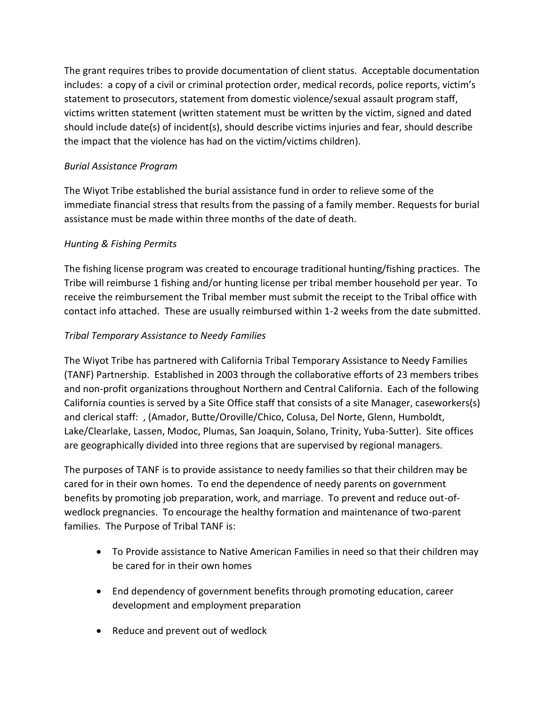The grant requires tribes to provide documentation of client status. Acceptable documentation includes: a copy of a civil or criminal protection order, medical records, police reports, victim's statement to prosecutors, statement from domestic violence/sexual assault program staff, victims written statement (written statement must be written by the victim, signed and dated should include date(s) of incident(s), should describe victims injuries and fear, should describe the impact that the violence has had on the victim/victims children).

# *Burial Assistance Program*

The Wiyot Tribe established the burial assistance fund in order to relieve some of the immediate financial stress that results from the passing of a family member. Requests for burial assistance must be made within three months of the date of death.

# *Hunting & Fishing Permits*

The fishing license program was created to encourage traditional hunting/fishing practices. The Tribe will reimburse 1 fishing and/or hunting license per tribal member household per year. To receive the reimbursement the Tribal member must submit the receipt to the Tribal office with contact info attached. These are usually reimbursed within 1-2 weeks from the date submitted.

# *Tribal Temporary Assistance to Needy Families*

The Wiyot Tribe has partnered with California Tribal Temporary Assistance to Needy Families (TANF) Partnership. Established in 2003 through the collaborative efforts of 23 members tribes and non-profit organizations throughout Northern and Central California. Each of the following California counties is served by a Site Office staff that consists of a site Manager, caseworkers(s) and clerical staff: , (Amador, Butte/Oroville/Chico, Colusa, Del Norte, Glenn, Humboldt, Lake/Clearlake, Lassen, Modoc, Plumas, San Joaquin, Solano, Trinity, Yuba-Sutter). Site offices are geographically divided into three regions that are supervised by regional managers.

The purposes of TANF is to provide assistance to needy families so that their children may be cared for in their own homes. To end the dependence of needy parents on government benefits by promoting job preparation, work, and marriage. To prevent and reduce out-ofwedlock pregnancies. To encourage the healthy formation and maintenance of two-parent families. The Purpose of Tribal TANF is:

- To Provide assistance to Native American Families in need so that their children may be cared for in their own homes
- End dependency of government benefits through promoting education, career development and employment preparation
- Reduce and prevent out of wedlock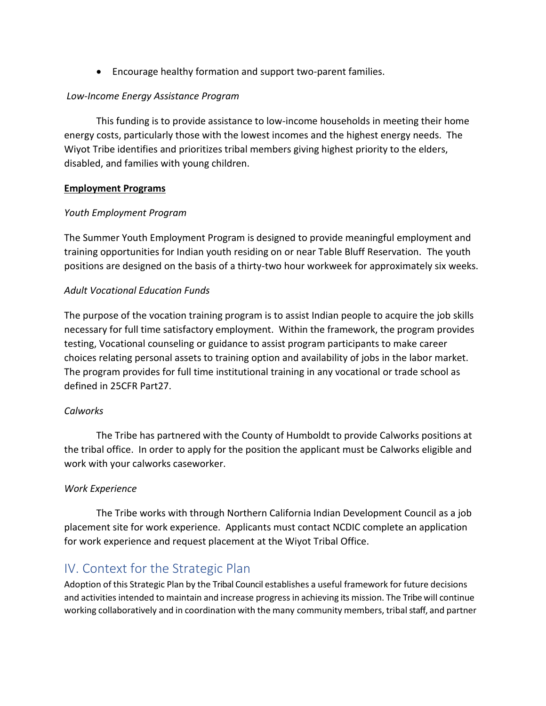• Encourage healthy formation and support two-parent families.

# *Low-Income Energy Assistance Program*

This funding is to provide assistance to low-income households in meeting their home energy costs, particularly those with the lowest incomes and the highest energy needs. The Wiyot Tribe identifies and prioritizes tribal members giving highest priority to the elders, disabled, and families with young children.

# **Employment Programs**

# *Youth Employment Program*

The Summer Youth Employment Program is designed to provide meaningful employment and training opportunities for Indian youth residing on or near Table Bluff Reservation. The youth positions are designed on the basis of a thirty-two hour workweek for approximately six weeks.

# *Adult Vocational Education Funds*

The purpose of the vocation training program is to assist Indian people to acquire the job skills necessary for full time satisfactory employment. Within the framework, the program provides testing, Vocational counseling or guidance to assist program participants to make career choices relating personal assets to training option and availability of jobs in the labor market. The program provides for full time institutional training in any vocational or trade school as defined in 25CFR Part27.

# *Calworks*

The Tribe has partnered with the County of Humboldt to provide Calworks positions at the tribal office. In order to apply for the position the applicant must be Calworks eligible and work with your calworks caseworker.

# *Work Experience*

The Tribe works with through Northern California Indian Development Council as a job placement site for work experience. Applicants must contact NCDIC complete an application for work experience and request placement at the Wiyot Tribal Office.

# IV. Context for the Strategic Plan

Adoption of this Strategic Plan by the Tribal Council establishes a useful framework for future decisions and activities intended to maintain and increase progress in achieving its mission. The Tribe will continue working collaboratively and in coordination with the many community members, tribal staff, and partner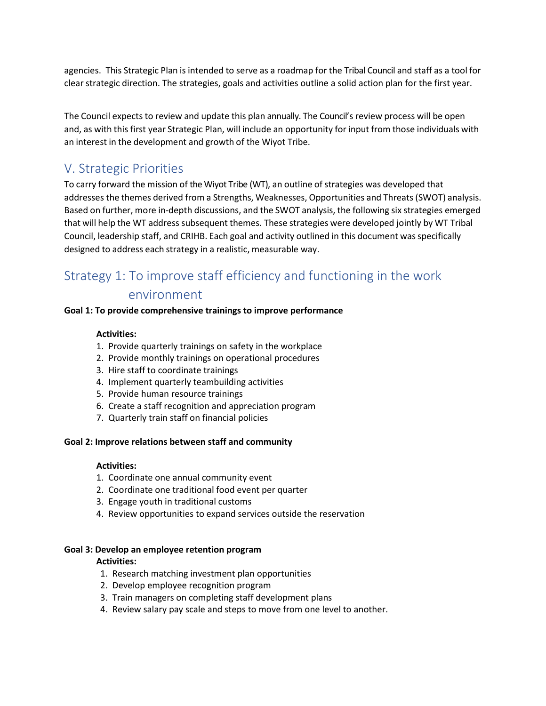agencies. This Strategic Plan is intended to serve as a roadmap for the Tribal Council and staff as a tool for clear strategic direction. The strategies, goals and activities outline a solid action plan for the first year.

The Council expects to review and update this plan annually. The Council's review process will be open and, as with this first year Strategic Plan, will include an opportunity for input from those individuals with an interest in the development and growth of the Wiyot Tribe.

# <span id="page-11-0"></span>V. Strategic Priorities

To carry forward the mission of the Wiyot Tribe (WT), an outline of strategies was developed that addresses the themes derived from a Strengths, Weaknesses, Opportunities and Threats (SWOT) analysis. Based on further, more in-depth discussions, and the SWOT analysis, the following six strategies emerged that will help the WT address subsequent themes. These strategies were developed jointly by WT Tribal Council, leadership staff, and CRIHB. Each goal and activity outlined in this document wasspecifically designed to address each strategy in a realistic, measurable way.

# <span id="page-11-1"></span>Strategy 1: To improve staff efficiency and functioning in the work

# environment

#### **Goal 1: To provide comprehensive trainings to improve performance**

#### **Activities:**

- 1. Provide quarterly trainings on safety in the workplace
- 2. Provide monthly trainings on operational procedures
- 3. Hire staff to coordinate trainings
- 4. Implement quarterly teambuilding activities
- 5. Provide human resource trainings
- 6. Create a staff recognition and appreciation program
- 7. Quarterly train staff on financial policies

#### **Goal 2: Improve relations between staff and community**

#### **Activities:**

- 1. Coordinate one annual community event
- 2. Coordinate one traditional food event per quarter
- 3. Engage youth in traditional customs
- 4. Review opportunities to expand services outside the reservation

#### **Goal 3: Develop an employee retention program**

#### **Activities:**

- 1. Research matching investment plan opportunities
- 2. Develop employee recognition program
- 3. Train managers on completing staff development plans
- 4. Review salary pay scale and steps to move from one level to another.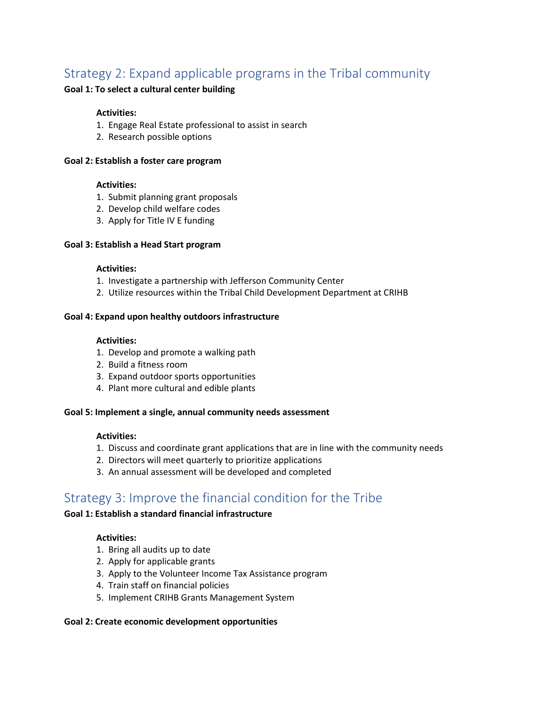# <span id="page-12-0"></span>Strategy 2: Expand applicable programs in the Tribal community

#### **Goal 1: To select a cultural center building**

#### **Activities:**

- 1. Engage Real Estate professional to assist in search
- 2. Research possible options

#### **Goal 2: Establish a foster care program**

#### **Activities:**

- 1. Submit planning grant proposals
- 2. Develop child welfare codes
- 3. Apply for Title IV E funding

#### **Goal 3: Establish a Head Start program**

#### **Activities:**

- 1. Investigate a partnership with Jefferson Community Center
- 2. Utilize resources within the Tribal Child Development Department at CRIHB

#### **Goal 4: Expand upon healthy outdoors infrastructure**

#### **Activities:**

- 1. Develop and promote a walking path
- 2. Build a fitness room
- 3. Expand outdoor sports opportunities
- 4. Plant more cultural and edible plants

#### **Goal 5: Implement a single, annual community needs assessment**

#### **Activities:**

- 1. Discuss and coordinate grant applications that are in line with the community needs
- 2. Directors will meet quarterly to prioritize applications
- 3. An annual assessment will be developed and completed

# <span id="page-12-1"></span>Strategy 3: Improve the financial condition for the Tribe

## **Goal 1: Establish a standard financial infrastructure**

#### **Activities:**

- 1. Bring all audits up to date
- 2. Apply for applicable grants
- 3. Apply to the Volunteer Income Tax Assistance program
- 4. Train staff on financial policies
- 5. Implement CRIHB Grants Management System

#### **Goal 2: Create economic development opportunities**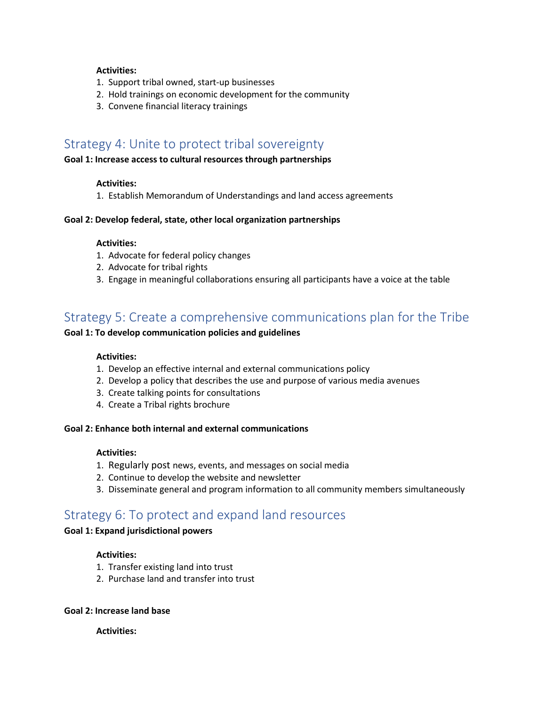#### **Activities:**

- 1. Support tribal owned, start-up businesses
- 2. Hold trainings on economic development for the community
- 3. Convene financial literacy trainings

# <span id="page-13-0"></span>Strategy 4: Unite to protect tribal sovereignty

#### **Goal 1: Increase access to cultural resources through partnerships**

#### **Activities:**

1. Establish Memorandum of Understandings and land access agreements

#### **Goal 2: Develop federal, state, other local organization partnerships**

#### **Activities:**

- 1. Advocate for federal policy changes
- 2. Advocate for tribal rights
- 3. Engage in meaningful collaborations ensuring all participants have a voice at the table

# <span id="page-13-1"></span>Strategy 5: Create a comprehensive communications plan for the Tribe

#### **Goal 1: To develop communication policies and guidelines**

#### **Activities:**

- 1. Develop an effective internal and external communications policy
- 2. Develop a policy that describes the use and purpose of various media avenues
- 3. Create talking points for consultations
- 4. Create a Tribal rights brochure

#### **Goal 2: Enhance both internal and external communications**

#### **Activities:**

- 1. Regularly post news, events, and messages on social media
- 2. Continue to develop the website and newsletter
- 3. Disseminate general and program information to all community members simultaneously

# <span id="page-13-2"></span>Strategy 6: To protect and expand land resources

#### **Goal 1: Expand jurisdictional powers**

#### **Activities:**

- 1. Transfer existing land into trust
- 2. Purchase land and transfer into trust

#### **Goal 2: Increase land base**

#### **Activities:**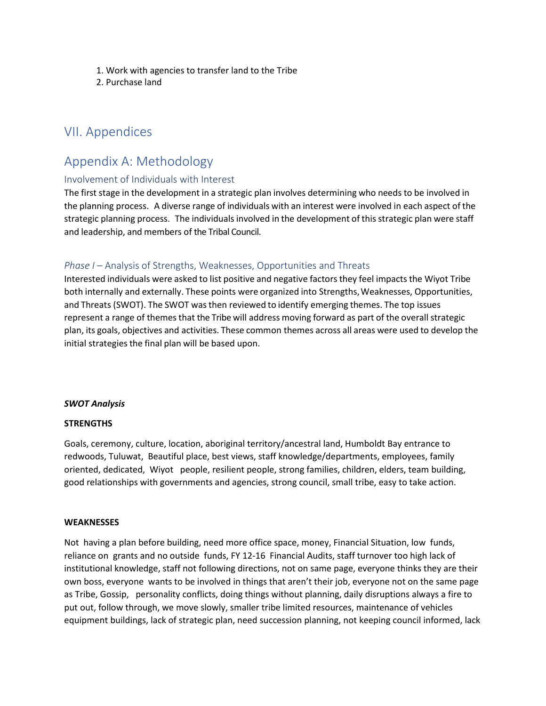- 1. Work with agencies to transfer land to the Tribe
- 2. Purchase land

# <span id="page-14-0"></span>VII. Appendices

# <span id="page-14-1"></span>Appendix A: Methodology

#### <span id="page-14-2"></span>Involvement of Individuals with Interest

The first stage in the development in a strategic plan involves determining who needs to be involved in the planning process. A diverse range of individuals with an interest were involved in each aspect of the strategic planning process. The individuals involved in the development of this strategic plan were staff and leadership, and members of the Tribal Council.

### <span id="page-14-3"></span>*Phase I* – Analysis of Strengths, Weaknesses, Opportunities and Threats

Interested individuals were asked to list positive and negative factorsthey feel impacts the Wiyot Tribe both internally and externally. These points were organized into Strengths, Weaknesses, Opportunities, and Threats (SWOT). The SWOT was then reviewed to identify emerging themes. The top issues represent a range of themes that the Tribe will address moving forward as part of the overall strategic plan, its goals, objectives and activities. These common themes across all areas were used to develop the initial strategies the final plan will be based upon.

#### *SWOT Analysis*

#### **STRENGTHS**

Goals, ceremony, culture, location, aboriginal territory/ancestral land, Humboldt Bay entrance to redwoods, Tuluwat, Beautiful place, best views, staff knowledge/departments, employees, family oriented, dedicated, Wiyot people, resilient people, strong families, children, elders, team building, good relationships with governments and agencies, strong council, small tribe, easy to take action.

#### **WEAKNESSES**

Not having a plan before building, need more office space, money, Financial Situation, low funds, reliance on grants and no outside funds, FY 12-16 Financial Audits, staff turnover too high lack of institutional knowledge, staff not following directions, not on same page, everyone thinks they are their own boss, everyone wants to be involved in things that aren't their job, everyone not on the same page as Tribe, Gossip, personality conflicts, doing things without planning, daily disruptions always a fire to put out, follow through, we move slowly, smaller tribe limited resources, maintenance of vehicles equipment buildings, lack of strategic plan, need succession planning, not keeping council informed, lack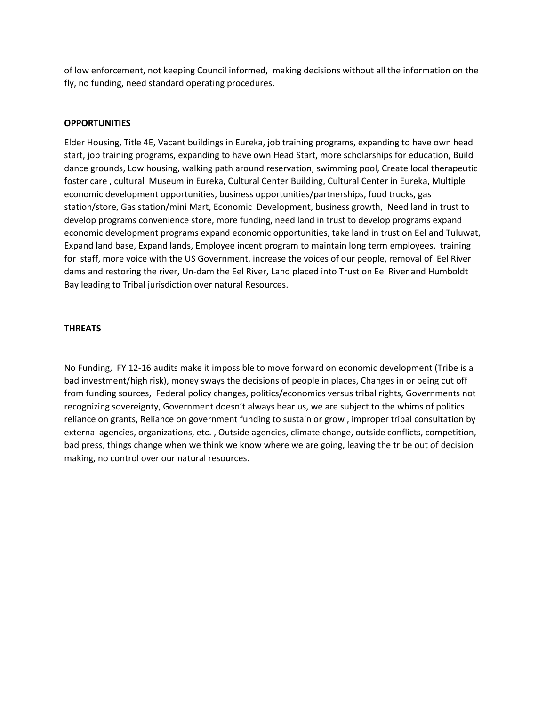of low enforcement, not keeping Council informed, making decisions without all the information on the fly, no funding, need standard operating procedures.

#### **OPPORTUNITIES**

Elder Housing, Title 4E, Vacant buildings in Eureka, job training programs, expanding to have own head start, job training programs, expanding to have own Head Start, more scholarships for education, Build dance grounds, Low housing, walking path around reservation, swimming pool, Create local therapeutic foster care , cultural Museum in Eureka, Cultural Center Building, Cultural Center in Eureka, Multiple economic development opportunities, business opportunities/partnerships, food trucks, gas station/store, Gas station/mini Mart, Economic Development, business growth, Need land in trust to develop programs convenience store, more funding, need land in trust to develop programs expand economic development programs expand economic opportunities, take land in trust on Eel and Tuluwat, Expand land base, Expand lands, Employee incent program to maintain long term employees, training for staff, more voice with the US Government, increase the voices of our people, removal of Eel River dams and restoring the river, Un-dam the Eel River, Land placed into Trust on Eel River and Humboldt Bay leading to Tribal jurisdiction over natural Resources.

#### **THREATS**

No Funding, FY 12-16 audits make it impossible to move forward on economic development (Tribe is a bad investment/high risk), money sways the decisions of people in places, Changes in or being cut off from funding sources, Federal policy changes, politics/economics versus tribal rights, Governments not recognizing sovereignty, Government doesn't always hear us, we are subject to the whims of politics reliance on grants, Reliance on government funding to sustain or grow , improper tribal consultation by external agencies, organizations, etc. , Outside agencies, climate change, outside conflicts, competition, bad press, things change when we think we know where we are going, leaving the tribe out of decision making, no control over our natural resources.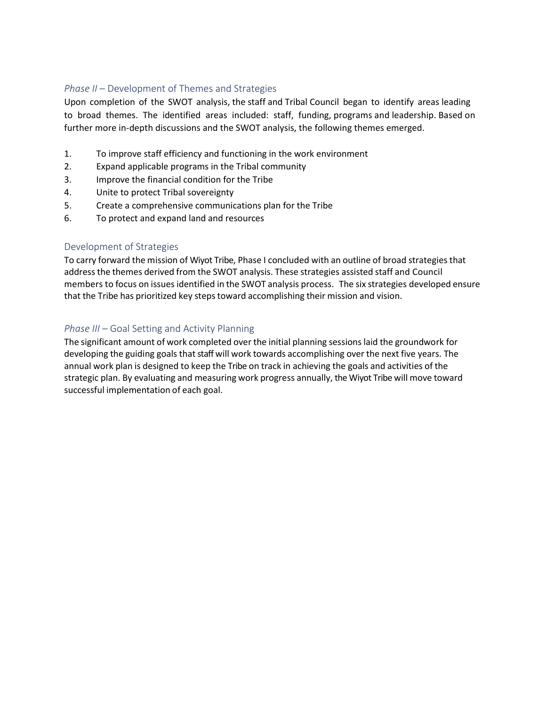### <span id="page-16-0"></span>*Phase II* – Development of Themes and Strategies

Upon completion of the SWOT analysis, the staff and Tribal Council began to identify areas leading to broad themes. The identified areas included: staff, funding, programs and leadership. Based on further more in-depth discussions and the SWOT analysis, the following themes emerged.

- 1. To improve staff efficiency and functioning in the work environment
- 2. Expand applicable programs in the Tribal community
- 3. Improve the financial condition for the Tribe
- 4. Unite to protect Tribal sovereignty
- 5. Create a comprehensive communications plan for the Tribe
- 6. To protect and expand land and resources

## <span id="page-16-1"></span>Development of Strategies

To carry forward the mission of Wiyot Tribe, Phase I concluded with an outline of broad strategies that address the themes derived from the SWOT analysis. These strategies assisted staff and Council members to focus on issues identified in the SWOT analysis process. The six strategies developed ensure that the Tribe has prioritized key steps toward accomplishing their mission and vision.

# <span id="page-16-2"></span>*Phase III* – Goal Setting and Activity Planning

The significant amount of work completed over the initial planning sessions laid the groundwork for developing the guiding goals that staff will work towards accomplishing over the next five years. The annual work plan is designed to keep the Tribe on track in achieving the goals and activities of the strategic plan. By evaluating and measuring work progress annually, the Wiyot Tribe will move toward successful implementation of each goal.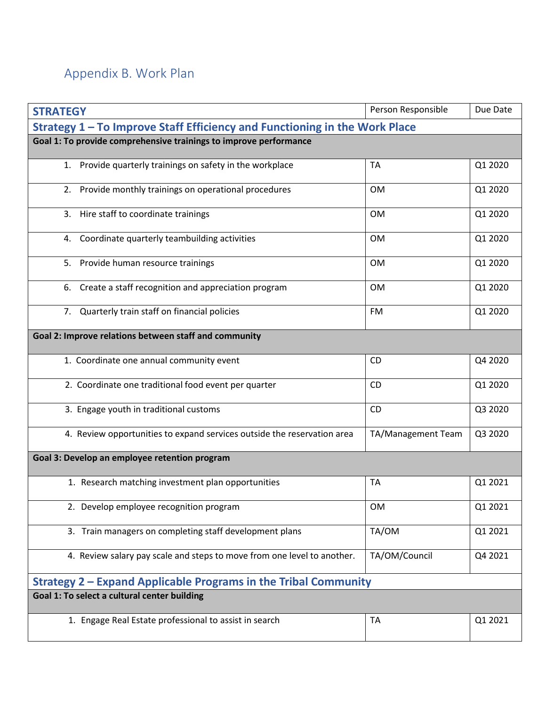# <span id="page-17-0"></span>Appendix B. Work Plan

| <b>STRATEGY</b>                                                            | Person Responsible | Due Date |  |  |
|----------------------------------------------------------------------------|--------------------|----------|--|--|
| Strategy 1 - To Improve Staff Efficiency and Functioning in the Work Place |                    |          |  |  |
| Goal 1: To provide comprehensive trainings to improve performance          |                    |          |  |  |
| 1. Provide quarterly trainings on safety in the workplace                  | <b>TA</b>          | Q1 2020  |  |  |
| 2. Provide monthly trainings on operational procedures                     | <b>OM</b>          | Q1 2020  |  |  |
| 3. Hire staff to coordinate trainings                                      | <b>OM</b>          | Q1 2020  |  |  |
| Coordinate quarterly teambuilding activities<br>4.                         | <b>OM</b>          | Q1 2020  |  |  |
| Provide human resource trainings<br>5.                                     | <b>OM</b>          | Q1 2020  |  |  |
| Create a staff recognition and appreciation program<br>6.                  | <b>OM</b>          | Q1 2020  |  |  |
| 7. Quarterly train staff on financial policies                             | FM                 | Q1 2020  |  |  |
| Goal 2: Improve relations between staff and community                      |                    |          |  |  |
| 1. Coordinate one annual community event                                   | <b>CD</b>          | Q4 2020  |  |  |
| 2. Coordinate one traditional food event per quarter                       | <b>CD</b>          | Q1 2020  |  |  |
| 3. Engage youth in traditional customs                                     | CD                 | Q3 2020  |  |  |
| 4. Review opportunities to expand services outside the reservation area    | TA/Management Team | Q3 2020  |  |  |
| Goal 3: Develop an employee retention program                              |                    |          |  |  |
| 1. Research matching investment plan opportunities                         | TA                 | Q1 2021  |  |  |
| 2. Develop employee recognition program                                    | <b>OM</b>          | Q1 2021  |  |  |
| 3. Train managers on completing staff development plans                    | TA/OM              | Q1 2021  |  |  |
| 4. Review salary pay scale and steps to move from one level to another.    | TA/OM/Council      | Q4 2021  |  |  |
| Strategy 2 – Expand Applicable Programs in the Tribal Community            |                    |          |  |  |
| Goal 1: To select a cultural center building                               |                    |          |  |  |
| 1. Engage Real Estate professional to assist in search                     | <b>TA</b>          | Q1 2021  |  |  |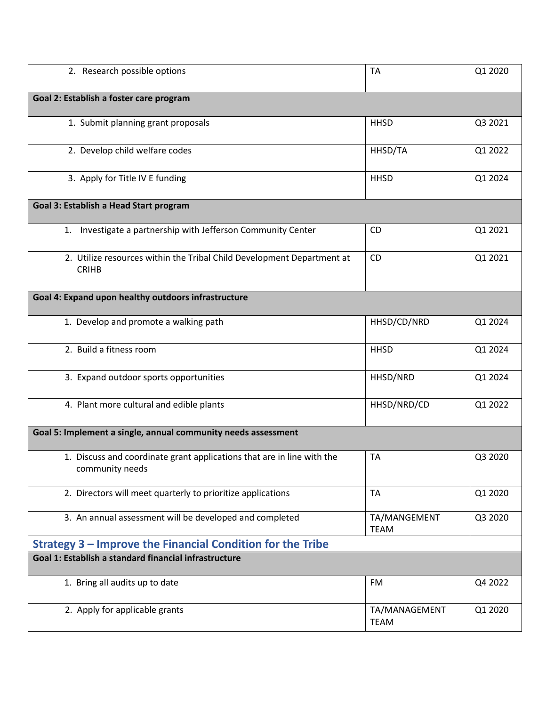| 2. Research possible options                                                              | <b>TA</b>                    | Q1 2020 |  |  |
|-------------------------------------------------------------------------------------------|------------------------------|---------|--|--|
| Goal 2: Establish a foster care program                                                   |                              |         |  |  |
| 1. Submit planning grant proposals                                                        | <b>HHSD</b>                  | Q3 2021 |  |  |
| 2. Develop child welfare codes                                                            | HHSD/TA                      | Q1 2022 |  |  |
| 3. Apply for Title IV E funding                                                           | <b>HHSD</b>                  | Q1 2024 |  |  |
| Goal 3: Establish a Head Start program                                                    |                              |         |  |  |
| Investigate a partnership with Jefferson Community Center<br>1.                           | <b>CD</b>                    | Q1 2021 |  |  |
| 2. Utilize resources within the Tribal Child Development Department at<br><b>CRIHB</b>    | CD                           | Q1 2021 |  |  |
| Goal 4: Expand upon healthy outdoors infrastructure                                       |                              |         |  |  |
| 1. Develop and promote a walking path                                                     | HHSD/CD/NRD                  | Q1 2024 |  |  |
| 2. Build a fitness room                                                                   | <b>HHSD</b>                  | Q1 2024 |  |  |
| 3. Expand outdoor sports opportunities                                                    | HHSD/NRD                     | Q1 2024 |  |  |
| 4. Plant more cultural and edible plants                                                  | HHSD/NRD/CD                  | Q1 2022 |  |  |
| Goal 5: Implement a single, annual community needs assessment                             |                              |         |  |  |
| 1. Discuss and coordinate grant applications that are in line with the<br>community needs | <b>TA</b>                    | Q3 2020 |  |  |
| 2. Directors will meet quarterly to prioritize applications                               | <b>TA</b>                    | Q1 2020 |  |  |
| 3. An annual assessment will be developed and completed                                   | TA/MANGEMENT<br><b>TEAM</b>  | Q3 2020 |  |  |
| Strategy 3 – Improve the Financial Condition for the Tribe                                |                              |         |  |  |
| Goal 1: Establish a standard financial infrastructure                                     |                              |         |  |  |
| 1. Bring all audits up to date                                                            | FM                           | Q4 2022 |  |  |
| 2. Apply for applicable grants                                                            | TA/MANAGEMENT<br><b>TEAM</b> | Q1 2020 |  |  |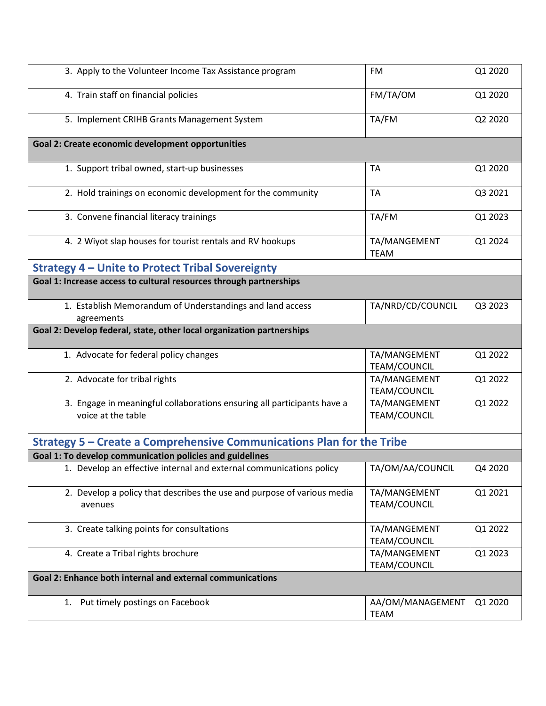| 3. Apply to the Volunteer Income Tax Assistance program                                       | <b>FM</b>                           | Q1 2020 |  |
|-----------------------------------------------------------------------------------------------|-------------------------------------|---------|--|
| 4. Train staff on financial policies                                                          | FM/TA/OM                            | Q1 2020 |  |
| 5. Implement CRIHB Grants Management System                                                   | TA/FM                               | Q2 2020 |  |
| Goal 2: Create economic development opportunities                                             |                                     |         |  |
| 1. Support tribal owned, start-up businesses                                                  | <b>TA</b>                           | Q1 2020 |  |
| 2. Hold trainings on economic development for the community                                   | <b>TA</b>                           | Q3 2021 |  |
| 3. Convene financial literacy trainings                                                       | TA/FM                               | Q1 2023 |  |
| 4. 2 Wiyot slap houses for tourist rentals and RV hookups                                     | TA/MANGEMENT<br><b>TEAM</b>         | Q1 2024 |  |
| <b>Strategy 4 - Unite to Protect Tribal Sovereignty</b>                                       |                                     |         |  |
| Goal 1: Increase access to cultural resources through partnerships                            |                                     |         |  |
| 1. Establish Memorandum of Understandings and land access<br>agreements                       | TA/NRD/CD/COUNCIL                   | Q3 2023 |  |
| Goal 2: Develop federal, state, other local organization partnerships                         |                                     |         |  |
| 1. Advocate for federal policy changes                                                        | TA/MANGEMENT<br>TEAM/COUNCIL        | Q1 2022 |  |
| 2. Advocate for tribal rights                                                                 | TA/MANGEMENT<br>TEAM/COUNCIL        | Q1 2022 |  |
| 3. Engage in meaningful collaborations ensuring all participants have a<br>voice at the table | TA/MANGEMENT<br>TEAM/COUNCIL        | Q1 2022 |  |
| Strategy 5 - Create a Comprehensive Communications Plan for the Tribe                         |                                     |         |  |
| Goal 1: To develop communication policies and guidelines                                      |                                     |         |  |
| 1. Develop an effective internal and external communications policy                           | TA/OM/AA/COUNCIL                    | Q4 2020 |  |
| 2. Develop a policy that describes the use and purpose of various media<br>avenues            | TA/MANGEMENT<br><b>TEAM/COUNCIL</b> | Q1 2021 |  |
| 3. Create talking points for consultations                                                    | TA/MANGEMENT<br>TEAM/COUNCIL        | Q1 2022 |  |
| 4. Create a Tribal rights brochure                                                            | TA/MANGEMENT<br>TEAM/COUNCIL        | Q1 2023 |  |
| Goal 2: Enhance both internal and external communications                                     |                                     |         |  |
| 1. Put timely postings on Facebook                                                            | AA/OM/MANAGEMENT<br><b>TEAM</b>     | Q1 2020 |  |